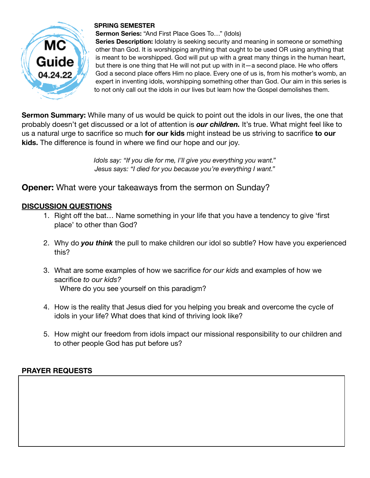

## **SPRING SEMESTER**

**Sermon Series:** "And First Place Goes To…" (Idols)

**Series Description:** Idolatry is seeking security and meaning in someone or something other than God. It is worshipping anything that ought to be used OR using anything that is meant to be worshipped. God will put up with a great many things in the human heart, but there is one thing that He will not put up with in it—a second place. He who offers God a second place offers Him no place. Every one of us is, from his mother's womb, an expert in inventing idols, worshipping something other than God. Our aim in this series is to not only call out the idols in our lives but learn how the Gospel demolishes them.

**Sermon Summary:** While many of us would be quick to point out the idols in our lives, the one that probably doesn't get discussed or a lot of attention is *our children.* It's true. What might feel like to us a natural urge to sacrifice so much **for our kids** might instead be us striving to sacrifice **to our kids.** The difference is found in where we find our hope and our joy.

> *Idols say: "If you die for me, I'll give you everything you want." Jesus says: "I died for you because you're everything I want."*

**Opener:** What were your takeaways from the sermon on Sunday?

## **DISCUSSION QUESTIONS**

- 1. Right off the bat… Name something in your life that you have a tendency to give 'first place' to other than God?
- 2. Why do *you think* the pull to make children our idol so subtle? How have you experienced this?
- 3. What are some examples of how we sacrifice *for our kids* and examples of how we sacrifice *to our kids?* Where do you see yourself on this paradigm?
- 4. How is the reality that Jesus died for you helping you break and overcome the cycle of idols in your life? What does that kind of thriving look like?
- 5. How might our freedom from idols impact our missional responsibility to our children and to other people God has put before us?

## **PRAYER REQUESTS**